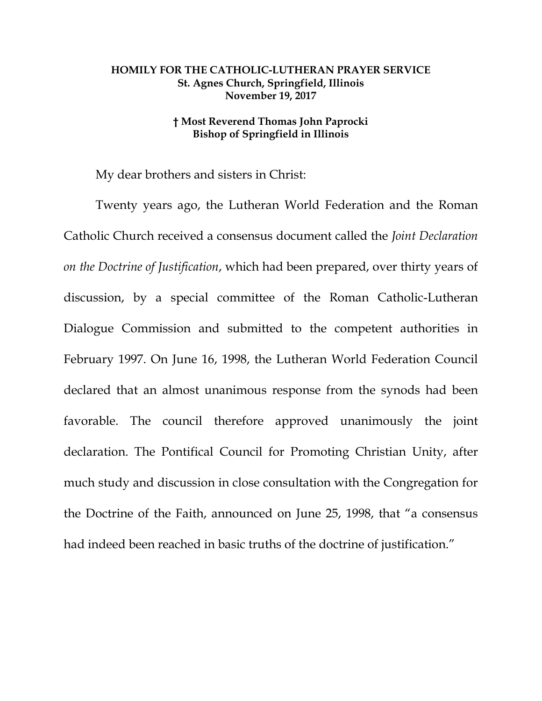## **HOMILY FOR THE CATHOLIC-LUTHERAN PRAYER SERVICE St. Agnes Church, Springfield, Illinois November 19, 2017**

## **† Most Reverend Thomas John Paprocki Bishop of Springfield in Illinois**

My dear brothers and sisters in Christ:

Twenty years ago, the Lutheran World Federation and the Roman Catholic Church received a consensus document called the *Joint Declaration on the Doctrine of Justification*, which had been prepared, over thirty years of discussion, by a special committee of the Roman Catholic-Lutheran Dialogue Commission and submitted to the competent authorities in February 1997. On June 16, 1998, the Lutheran World Federation Council declared that an almost unanimous response from the synods had been favorable. The council therefore approved unanimously the joint declaration. The Pontifical Council for Promoting Christian Unity, after much study and discussion in close consultation with the Congregation for the Doctrine of the Faith, announced on June 25, 1998, that "a consensus had indeed been reached in basic truths of the doctrine of justification."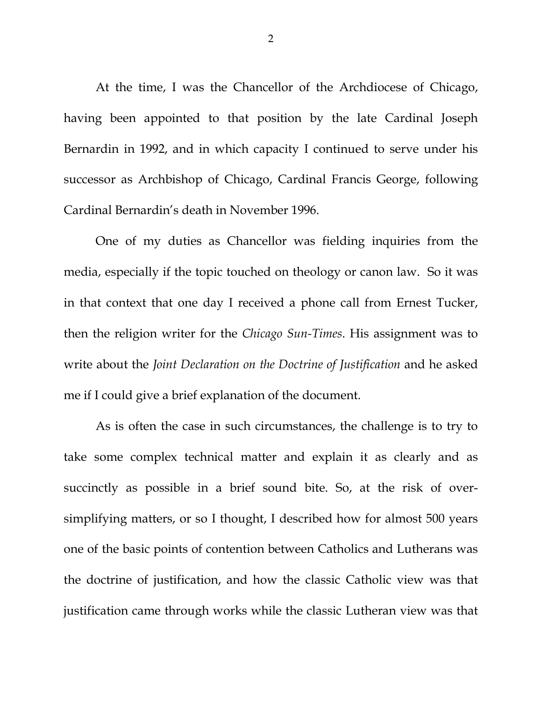At the time, I was the Chancellor of the Archdiocese of Chicago, having been appointed to that position by the late Cardinal Joseph Bernardin in 1992, and in which capacity I continued to serve under his successor as Archbishop of Chicago, Cardinal Francis George, following Cardinal Bernardin's death in November 1996.

One of my duties as Chancellor was fielding inquiries from the media, especially if the topic touched on theology or canon law. So it was in that context that one day I received a phone call from Ernest Tucker, then the religion writer for the *Chicago Sun-Times*. His assignment was to write about the *Joint Declaration on the Doctrine of Justification* and he asked me if I could give a brief explanation of the document.

As is often the case in such circumstances, the challenge is to try to take some complex technical matter and explain it as clearly and as succinctly as possible in a brief sound bite. So, at the risk of oversimplifying matters, or so I thought, I described how for almost 500 years one of the basic points of contention between Catholics and Lutherans was the doctrine of justification, and how the classic Catholic view was that justification came through works while the classic Lutheran view was that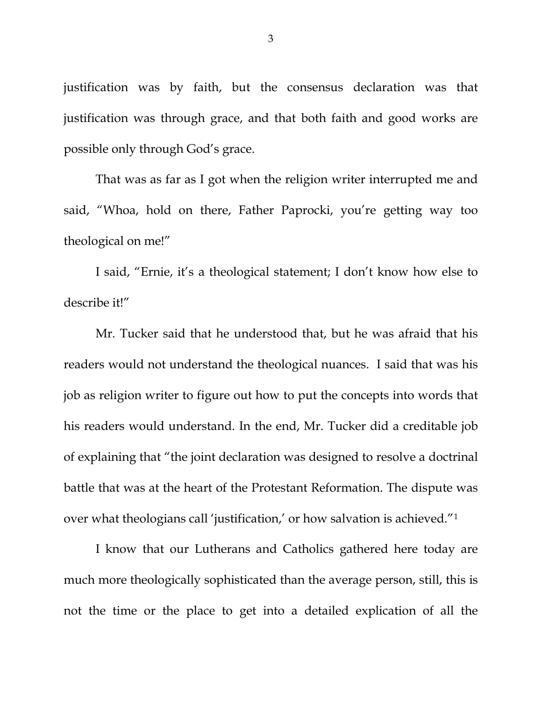justification was by faith, but the consensus declaration was that justification was through grace, and that both faith and good works are possible only through God's grace.

That was as far as I got when the religion writer interrupted me and said, "Whoa, hold on there, Father Paprocki, you're getting way too theological on me!"

I said, "Ernie, it's a theological statement; I don't know how else to describe it!"

Mr. Tucker said that he understood that, but he was afraid that his readers would not understand the theological nuances. I said that was his job as religion writer to figure out how to put the concepts into words that his readers would understand. In the end, Mr. Tucker did a creditable job of explaining that "the joint declaration was designed to resolve a doctrinal battle that was at the heart of the Protestant Reformation. The dispute was over what theologians call 'justification,' or how salvation is achieved."[1](#page-3-0)

I know that our Lutherans and Catholics gathered here today are much more theologically sophisticated than the average person, still, this is not the time or the place to get into a detailed explication of all the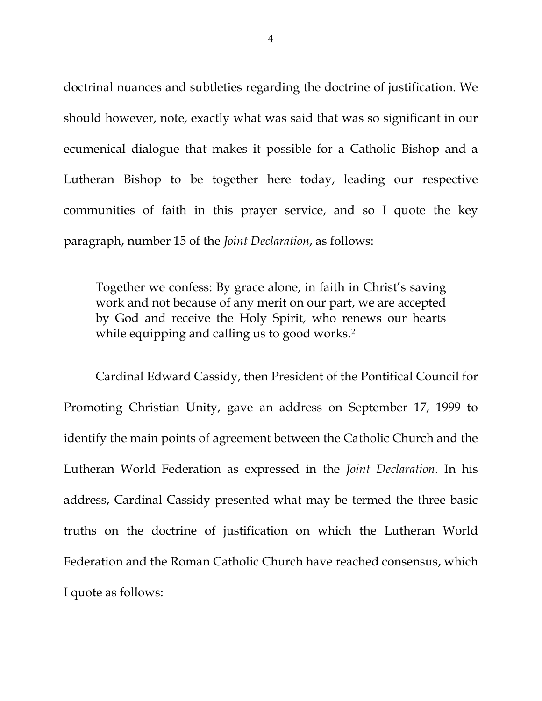<span id="page-3-2"></span><span id="page-3-1"></span><span id="page-3-0"></span>doctrinal nuances and subtleties regarding the doctrine of justification. We should however, note, exactly what was said that was so significant in our ecumenical dialogue that makes it possible for a Catholic Bishop and a Lutheran Bishop to be together here today, leading our respective communities of faith in this prayer service, and so I quote the key paragraph, number 15 of the *Joint Declaration*, as follows:

<span id="page-3-4"></span><span id="page-3-3"></span>Together we confess: By grace alone, in faith in Christ's saving work and not because of any merit on our part, we are accepted by God and receive the Holy Spirit, who renews our hearts while equipping and calling us to good works.<sup>[2](#page-3-1)</sup>

<span id="page-3-6"></span><span id="page-3-5"></span>Cardinal Edward Cassidy, then President of the Pontifical Council for Promoting Christian Unity, gave an address on September 17, 1999 to identify the main points of agreement between the Catholic Church and the Lutheran World Federation as expressed in the *Joint Declaration*. In his address, Cardinal Cassidy presented what may be termed the three basic truths on the doctrine of justification on which the Lutheran World Federation and the Roman Catholic Church have reached consensus, which I quote as follows: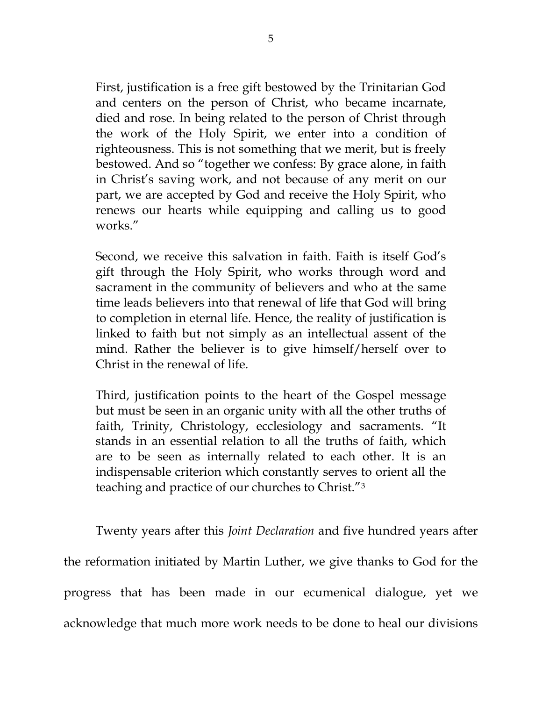First, justification is a free gift bestowed by the Trinitarian God and centers on the person of Christ, who became incarnate, died and rose. In being related to the person of Christ through the work of the Holy Spirit, we enter into a condition of righteousness. This is not something that we merit, but is freely bestowed. And so "together we confess: By grace alone, in faith in Christ's saving work, and not because of any merit on our part, we are accepted by God and receive the Holy Spirit, who renews our hearts while equipping and calling us to good works."

Second, we receive this salvation in faith. Faith is itself God's gift through the Holy Spirit, who works through word and sacrament in the community of believers and who at the same time leads believers into that renewal of life that God will bring to completion in eternal life. Hence, the reality of justification is linked to faith but not simply as an intellectual assent of the mind. Rather the believer is to give himself/herself over to Christ in the renewal of life.

Third, justification points to the heart of the Gospel message but must be seen in an organic unity with all the other truths of faith, Trinity, Christology, ecclesiology and sacraments. "It stands in an essential relation to all the truths of faith, which are to be seen as internally related to each other. It is an indispensable criterion which constantly serves to orient all the teaching and practice of our churches to Christ."[3](#page-3-2)

Twenty years after this *Joint Declaration* and five hundred years after the reformation initiated by Martin Luther, we give thanks to God for the progress that has been made in our ecumenical dialogue, yet we acknowledge that much more work needs to be done to heal our divisions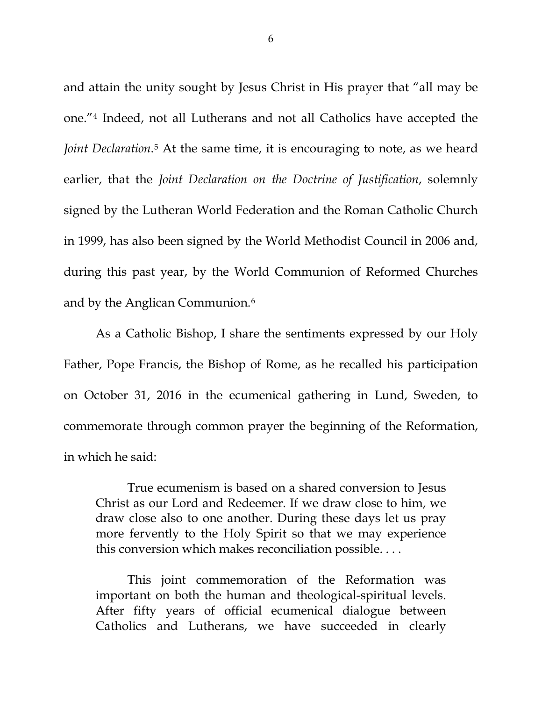and attain the unity sought by Jesus Christ in His prayer that "all may be one.["4](#page-3-3) Indeed, not all Lutherans and not all Catholics have accepted the *Joint Declaration*<sup>[5](#page-3-4)</sup> At the same time, it is encouraging to note, as we heard earlier, that the *Joint Declaration on the Doctrine of Justification*, solemnly signed by the Lutheran World Federation and the Roman Catholic Church in 1999, has also been signed by the World Methodist Council in 2006 and, during this past year, by the World Communion of Reformed Churches and by the Anglican Communion.[6](#page-3-5)

As a Catholic Bishop, I share the sentiments expressed by our Holy Father, Pope Francis, the Bishop of Rome, as he recalled his participation on October 31, 2016 in the ecumenical gathering in Lund, Sweden, to commemorate through common prayer the beginning of the Reformation, in which he said:

True ecumenism is based on a shared conversion to Jesus Christ as our Lord and Redeemer. If we draw close to him, we draw close also to one another. During these days let us pray more fervently to the Holy Spirit so that we may experience this conversion which makes reconciliation possible. . . .

This joint commemoration of the Reformation was important on both the human and theological-spiritual levels. After fifty years of official ecumenical dialogue between Catholics and Lutherans, we have succeeded in clearly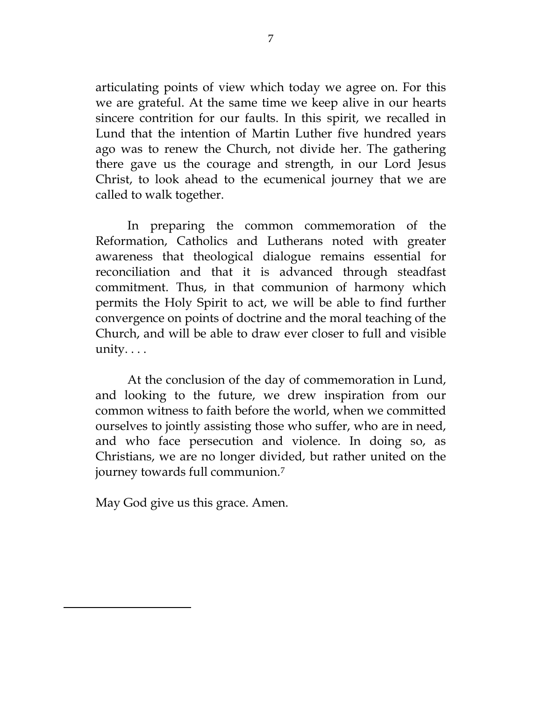articulating points of view which today we agree on. For this we are grateful. At the same time we keep alive in our hearts sincere contrition for our faults. In this spirit, we recalled in Lund that the intention of Martin Luther five hundred years ago was to renew the Church, not divide her. The gathering there gave us the courage and strength, in our Lord Jesus Christ, to look ahead to the ecumenical journey that we are called to walk together.

In preparing the common commemoration of the Reformation, Catholics and Lutherans noted with greater awareness that theological dialogue remains essential for reconciliation and that it is advanced through steadfast commitment. Thus, in that communion of harmony which permits the Holy Spirit to act, we will be able to find further convergence on points of doctrine and the moral teaching of the Church, and will be able to draw ever closer to full and visible unity. . . .

At the conclusion of the day of commemoration in Lund, and looking to the future, we drew inspiration from our common witness to faith before the world, when we committed ourselves to jointly assisting those who suffer, who are in need, and who face persecution and violence. In doing so, as Christians, we are no longer divided, but rather united on the journey towards full communion.[7](#page-3-6)

May God give us this grace. Amen.

 $\overline{a}$